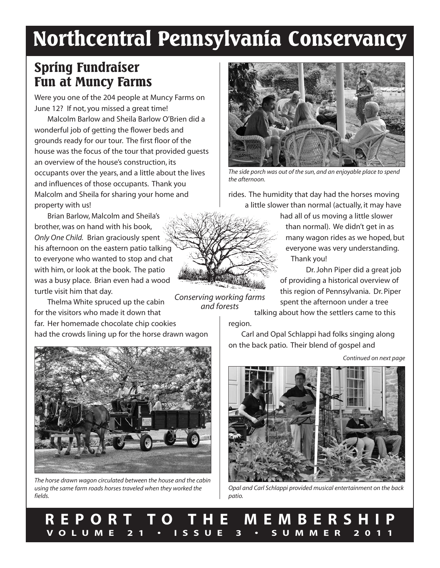# **Northcentral Pennsylvania Conservancy**

### **Spring Fundraiser Fun at Muncy Farms**

Were you one of the 204 people at Muncy Farms on June 12? If not, you missed a great time!

Malcolm Barlow and Sheila Barlow O'Brien did a wonderful job of getting the flower beds and grounds ready for our tour. The first floor of the house was the focus of the tour that provided guests an overview of the house's construction, its occupants over the years, and a little about the lives and influences of those occupants. Thank you Malcolm and Sheila for sharing your home and property with us!

Brian Barlow, Malcolm and Sheila's brother, was on hand with his book, *Only One Child.* Brian graciously spent his afternoon on the eastern patio talking to everyone who wanted to stop and chat with him, or look at the book. The patio was a busy place. Brian even had a wood turtle visit him that day.

Thelma White spruced up the cabin for the visitors who made it down that far. Her homemade chocolate chip cookies

had the crowds lining up for the horse drawn wagon



*The side porch was out of the sun, and an enjoyable place to spend the afternoon.*

rides. The humidity that day had the horses moving a little slower than normal (actually, it may have

> had all of us moving a little slower than normal). We didn't get in as many wagon rides as we hoped, but everyone was very understanding. Thank you!

Dr.John Piper did a great job of providing a historical overview of this region of Pennsylvania. Dr. Piper spent the afternoon under a tree talking about how the settlers came to this

region.

Carl and Opal Schlappi had folks singing along on the back patio. Their blend of gospel and

*Continued on next page*



*Opal and Carl Schlappi provided musical entertainment on the back patio.*

*The horse drawn wagon circulated between the house and the cabin using the same farm roads horses traveled when they worked the fields.*

**R E P O R T T O T H E M E M B E R S H I P** VOLUME 21 · ISSUE 3 · SUMMER 2011

*Conserving working farms and forests*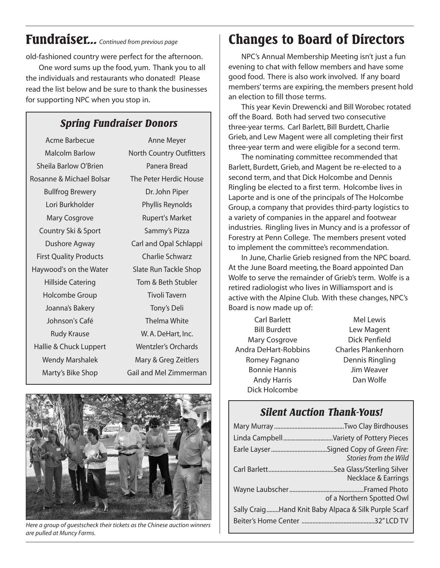# **Fundraiser...** *Continued from previous page*

old-fashioned country were perfect for the afternoon.

One word sums up the food, yum. Thank you to all the individuals and restaurants who donated! Please read the list below and be sure to thank the businesses for supporting NPC when you stop in.

### *Spring Fundraiser Donors*

Acme Barbecue Malcolm Barlow Sheila Barlow O'Brien Rosanne & Michael Bolsar Bullfrog Brewery Lori Burkholder Mary Cosgrove Country Ski & Sport Dushore Agway First Quality Products Haywood's on the Water Hillside Catering Holcombe Group Joanna's Bakery Johnson's Café Rudy Krause Hallie & Chuck Luppert Wendy Marshalek Marty's Bike Shop

Anne Meyer North Country Outfitters Panera Bread The Peter Herdic House Dr.John Piper Phyllis Reynolds Rupert's Market Sammy's Pizza Carl and Opal Schlappi Charlie Schwarz Slate Run Tackle Shop Tom & Beth Stubler Tivoli Tavern Tony's Deli Thelma White W. A.DeHart, Inc. Wentzler's Orchards Mary & Greg Zeitlers Gail and Mel Zimmerman



*Here a group of guestscheck their tickets as the Chinese auction winners are pulled at Muncy Farms.*

# **Changes to Board of Directors**

NPC's Annual Membership Meeting isn't just a fun evening to chat with fellow members and have some good food. There is also work involved. If any board members' terms are expiring, the members present hold an election to fill those terms.

This year Kevin Drewencki and Bill Worobec rotated off the Board. Both had served two consecutive three-year terms. Carl Barlett, Bill Burdett, Charlie Grieb, and Lew Magent were all completing their first three-year term and were eligible for a second term.

The nominating committee recommended that Barlett, Burdett, Grieb, and Magent be re-elected to a second term, and that Dick Holcombe and Dennis Ringling be elected to a first term. Holcombe lives in Laporte and is one of the principals of The Holcombe Group, a company that provides third-party logistics to a variety of companies in the apparel and footwear industries. Ringling lives in Muncy and is a professor of Forestry at Penn College. The members present voted to implement the committee's recommendation.

In June, Charlie Grieb resigned from the NPC board. At the June Board meeting, the Board appointed Dan Wolfe to serve the remainder of Grieb's term. Wolfe is a retired radiologist who lives in Williamsport and is active with the Alpine Club. With these changes, NPC's Board is now made up of:

Carl Barlett Bill Burdett Mary Cosgrove Andra DeHart-Robbins Romey Fagnano Bonnie Hannis Andy Harris Dick Holcombe

Mel Lewis Lew Magent Dick Penfield Charles Plankenhorn Dennis Ringling Jim Weaver Dan Wolfe

### *Silent Auction Thank-Yous!*

| Linda CampbellVariety of Pottery Pieces                      |
|--------------------------------------------------------------|
| <b>Stories from the Wild</b>                                 |
| Sea Glass/Sterling Silver.<br><b>Necklace &amp; Earrings</b> |
| of a Northern Spotted Owl                                    |
| Sally CraigHand Knit Baby Alpaca & Silk Purple Scarf         |
|                                                              |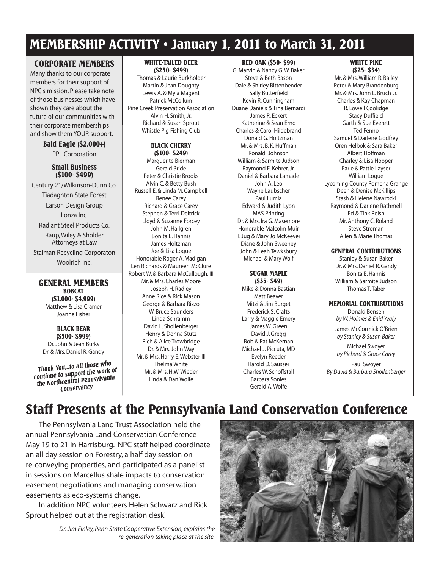## **MEMBERSHIP ACTIVITY • January 1, 2011 to March 31, 2011**

#### **CORPORATE MEMBERS**

Many thanks to our corporate members for their support of NPC's mission. Please take note of those businesses which have shown they care about the future of our communities with their corporate memberships and show them YOUR support.

#### **Bald Eagle (\$2,000+)** PPL Corporation

#### **Small Business (\$100- \$499)**

Century 21/Wilkinson-Dunn Co. Tiadaghton State Forest Larson Design Group Lonza Inc. Radiant Steel Products Co. Raup,Wiley & Sholder Attorneys at Law

Staiman Recycling Corporaton Woolrich Inc.

### **GENERAL MEMBERS**

**BOBCAT (\$1,000- \$4,999)** Matthew & Lisa Cramer Joanne Fisher

#### **BLACK BEAR (\$500- \$999)** Dr.John & Jean Burks Dr. & Mrs. Daniel R. Gandy

*continue to support the work of the Northcentral Pennsylvania Conservancy*

#### **WHITE-TAILED DEER (\$250- \$499)**

Thomas & Laurie Burkholder Martin & Jean Doughty Lewis A. & Myla Magent Patrick McCollum Pine Creek Preservation Association Alvin H. Smith, Jr. Richard & Susan Sprout Whistle Pig Fishing Club

#### **BLACK CHERRY (\$100- \$249)**

Marguerite Bierman Gerald Bride Peter & Christie Brooks Alvin C. & Betty Bush Russell E. & Linda M. Campbell Reneé Carey Richard & Grace Carey Stephen & Terri Deitrick Lloyd & Suzanne Forcey John M.Hallgren Bonita E.Hannis James Holtzman Joe & Lisa Logue Honorable Roger A. Madigan Len Richards & Maureen McClure Robert W. & Barbara McCullough, III Mr. & Mrs. Charles Moore Joseph H. Radley Anne Rice & Rick Mason George & Barbara Rizzo W. Bruce Saunders Linda Schramm David L. Shollenberger Henry & Donna Stutz Rich & Alice Trowbridge Dr. & Mrs.John Way Mr. & Mrs. Harry E. Webster III Thelma White Mr. & Mrs.H.W.Wieder Linda & Dan Wolfe *Barbara* **By** *Barbara By Daul Swoyer Barbara By David & Barbara Shollenberger By David & Barbara Shollenberger By David & Barbara Shollenberger By David & Barbara Shollenberger* 

#### **RED OAK (\$50- \$99)**

G. Marvin & Nancy G.W. Baker Steve & Beth Bason Dale & Shirley Bittenbender Sally Butterfield Kevin R. Cunningham Duane Daniels & Tina Bernardi James R. Eckert Katherine & Sean Erno Charles & Carol Hildebrand Donald G.Holtzman Mr. & Mrs. B. K.Huffman Ronald Johnson William & Sarmite Judson Raymond E. Kehrer, Jr. Daniel & Barbara Lamade John A. Leo Wayne Laubscher Paul Lumia Edward & Judith Lyon MAS Printing Dr. & Mrs. Ira G. Masemore Honorable Malcolm Muir T.Jug & Mary Jo McKeever Diane & John Sweeney John & Leah Tewksbury Michael & Mary Wolf

#### **SUGAR MAPLE (\$35- \$49)**

Mike & Donna Bastian Matt Beaver Mitzi & Jim Burget Frederick S. Crafts Larry & Maggie Emery James W.Green David J.Gregg Bob & Pat McKernan Michael J. Piccuta, MD Evelyn Reeder Harold D. Sausser Charles W. Schoffstall Barbara Sonies Gerald A.Wolfe

#### **WHITE PINE (\$25- \$34)**

Mr. & Mrs.William R. Bailey Peter & Mary Brandenburg Mr. & Mrs.John L. Bruch Jr. Charles & Kay Chapman R. Lowell Coolidge Stacy Duffield Garth & Sue Everett Ted Fenno Samuel & Darlene Godfrey Oren Helbok & Sara Baker Albert Hoffman Charley & Lisa Hooper Earle & Pattie Layser William Logue Lycoming County Pomona Grange Deen & Denise McKillips Stash & Helene Nawrocki Raymond & Darlene Rathmell Ed & Tink Reish Mr. Anthony C. Roland Steve Stroman Allen & Marie Thomas

#### **GENERAL CONTRIBUTIONS**

Stanley & Susan Baker Dr. & Mrs. Daniel R. Gandy Bonita E.Hannis William & Sarmite Judson Thomas T.Taber

#### **MEMORIAL CONTRIBUTIONS**

Donald Bensen *by W.Holmes & Enid Yealy*

James McCormick O'Brien *by Stanley & Susan Baker*

Michael Swoyer *by Richard & Grace Carey*

Paul Swoyer

# **Staff Presents at the Pennsylvania Land Conservation Conference**

The Pennsylvania Land Trust Association held the annual Pennsylvania Land Conservation Conference May 19 to 21 in Harrisburg. NPC staff helped coordinate an all day session on Forestry, a half day session on re-conveying properties, and participated as a panelist in sessions on Marcellus shale impacts to conservation easement negotiations and managing conservation easements as eco-systems change.

In addition NPC volunteers Helen Schwarz and Rick Sprout helped out at the registration desk!

> *Dr.Jim Finley, Penn State Cooperative Extension, explains the re-generation taking place at the site.*